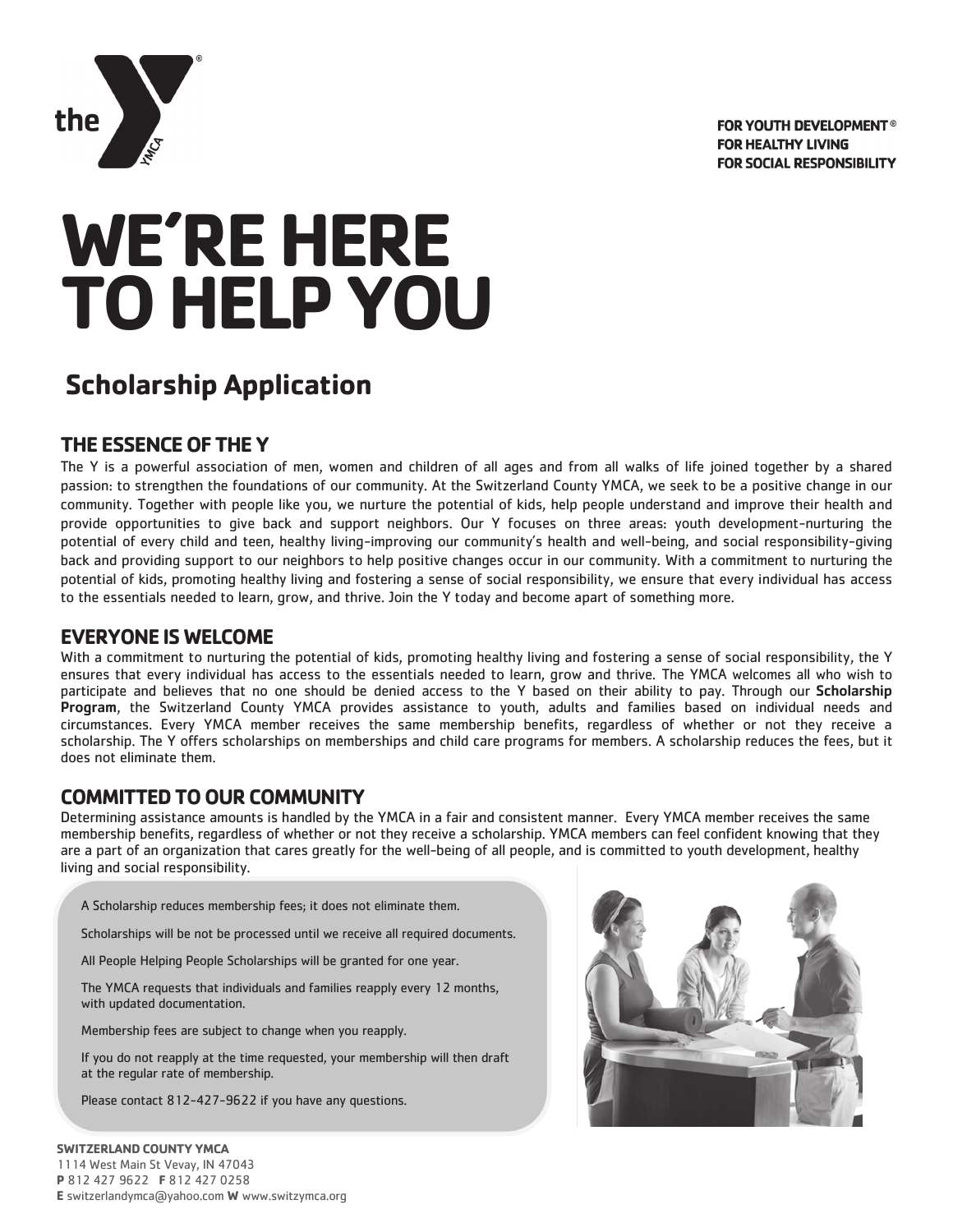



# **WE'RE HERE TO HELP YOU**

# **Scholarship Application**

# **THE ESSENCE OF THE Y**

The Y is a powerful association of men, women and children of all ages and from all walks of life joined together by a shared passion: to strengthen the foundations of our community. At the Switzerland County YMCA, we seek to be a positive change in our community. Together with people like you, we nurture the potential of kids, help people understand and improve their health and provide opportunities to give back and support neighbors. Our Y focuses on three areas: youth development-nurturing the potential of every child and teen, healthy living-improving our community's health and well-being, and social responsibility-giving back and providing support to our neighbors to help positive changes occur in our community. With a commitment to nurturing the potential of kids, promoting healthy living and fostering a sense of social responsibility, we ensure that every individual has access to the essentials needed to learn, grow, and thrive. Join the Y today and become apart of something more.

## **EVERYONE IS WELCOME**

With a commitment to nurturing the potential of kids, promoting healthy living and fostering a sense of social responsibility, the Y ensures that every individual has access to the essentials needed to learn, grow and thrive. The YMCA welcomes all who wish to participate and believes that no one should be denied access to the Y based on their ability to pay. Through our Scholarship Program, the Switzerland County YMCA provides assistance to youth, adults and families based on individual needs and circumstances. Every YMCA member receives the same membership benefits, regardless of whether or not they receive a scholarship. The Y offers scholarships on memberships and child care programs for members. A scholarship reduces the fees, but it does not eliminate them.

## **COMMITTED TO OUR COMMUNITY**

Determining assistance amounts is handled by the YMCA in a fair and consistent manner. Every YMCA member receives the same membership benefits, regardless of whether or not they receive a scholarship. YMCA members can feel confident knowing that they are a part of an organization that cares greatly for the well-being of all people, and is committed to youth development, healthy living and social responsibility.

A Scholarship reduces membership fees; it does not eliminate them.

Scholarships will be not be processed until we receive all required documents.

All People Helping People Scholarships will be granted for one year.

The YMCA requests that individuals and families reapply every 12 months, with updated documentation.

Membership fees are subject to change when you reapply.

If you do not reapply at the time requested, your membership will then draft at the regular rate of membership.

Please contact 812-427-9622 if you have any questions.

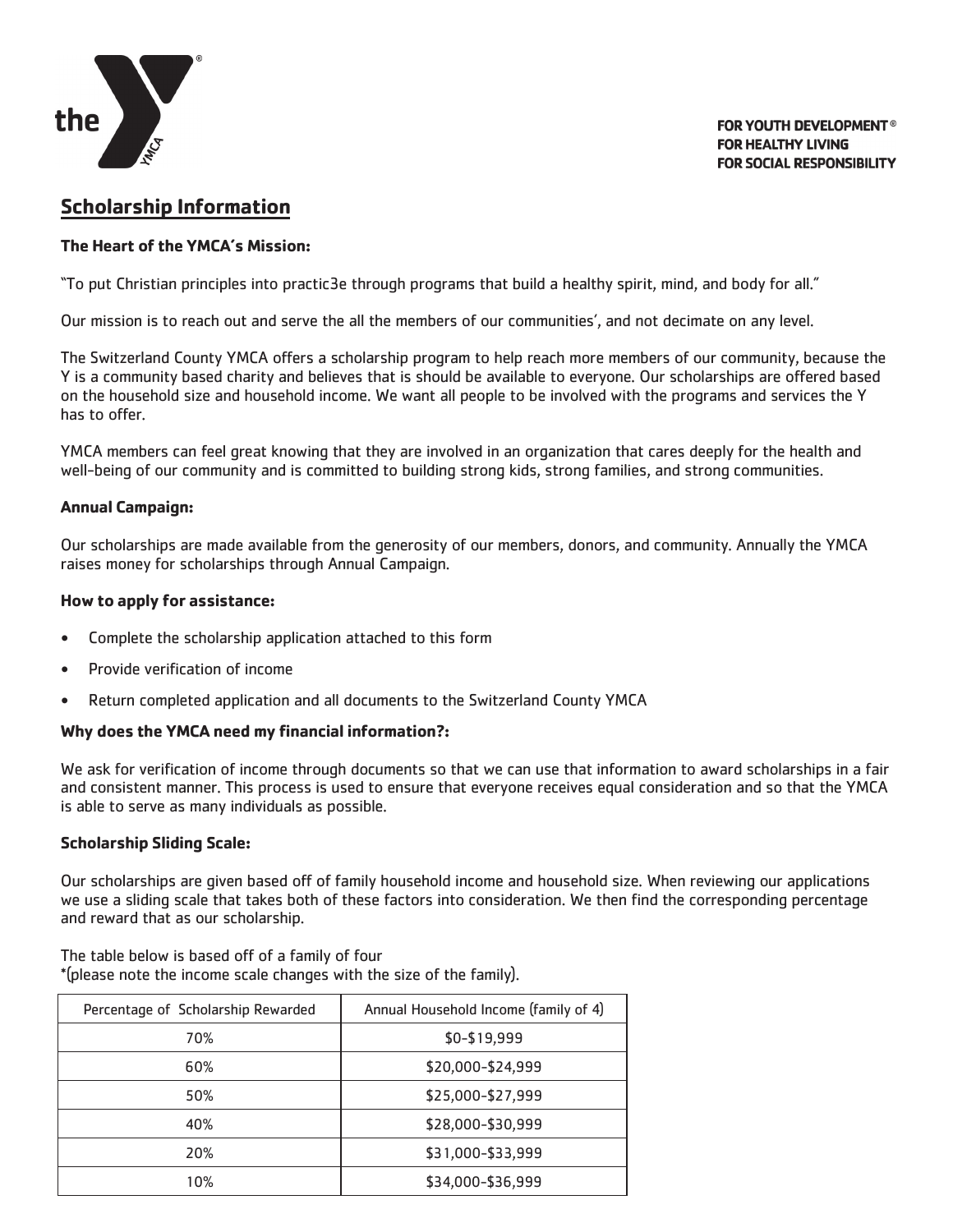

**FOR YOUTH DEVELOPMENT<sup>®</sup> FOR HEALTHY LIVING FOR SOCIAL RESPONSIBILITY** 

# **Scholarship Information**

#### **The Heart of the YMCA's Mission:**

"To put Christian principles into practic3e through programs that build a healthy spirit, mind, and body for all."

Our mission is to reach out and serve the all the members of our communities', and not decimate on any level.

The Switzerland County YMCA offers a scholarship program to help reach more members of our community, because the Y is a community based charity and believes that is should be available to everyone. Our scholarships are offered based on the household size and household income. We want all people to be involved with the programs and services the Y has to offer.

YMCA members can feel great knowing that they are involved in an organization that cares deeply for the health and well-being of our community and is committed to building strong kids, strong families, and strong communities.

#### **Annual Campaign:**

Our scholarships are made available from the generosity of our members, donors, and community. Annually the YMCA raises money for scholarships through Annual Campaign.

#### **How to apply for assistance:**

- Complete the scholarship application attached to this form
- Provide verification of income
- Return completed application and all documents to the Switzerland County YMCA

#### **Why does the YMCA need my financial information?:**

We ask for verification of income through documents so that we can use that information to award scholarships in a fair and consistent manner. This process is used to ensure that everyone receives equal consideration and so that the YMCA is able to serve as many individuals as possible.

#### **Scholarship Sliding Scale:**

Our scholarships are given based off of family household income and household size. When reviewing our applications we use a sliding scale that takes both of these factors into consideration. We then find the corresponding percentage and reward that as our scholarship.

The table below is based off of a family of four \*(please note the income scale changes with the size of the family).

| Percentage of Scholarship Rewarded | Annual Household Income (family of 4) |
|------------------------------------|---------------------------------------|
| 70%                                | \$0-\$19,999                          |
| 60%                                | \$20,000-\$24,999                     |
| 50%                                | \$25,000-\$27,999                     |
| 40%                                | \$28,000-\$30,999                     |
| 20%                                | \$31,000-\$33,999                     |
| 10%                                | \$34,000-\$36,999                     |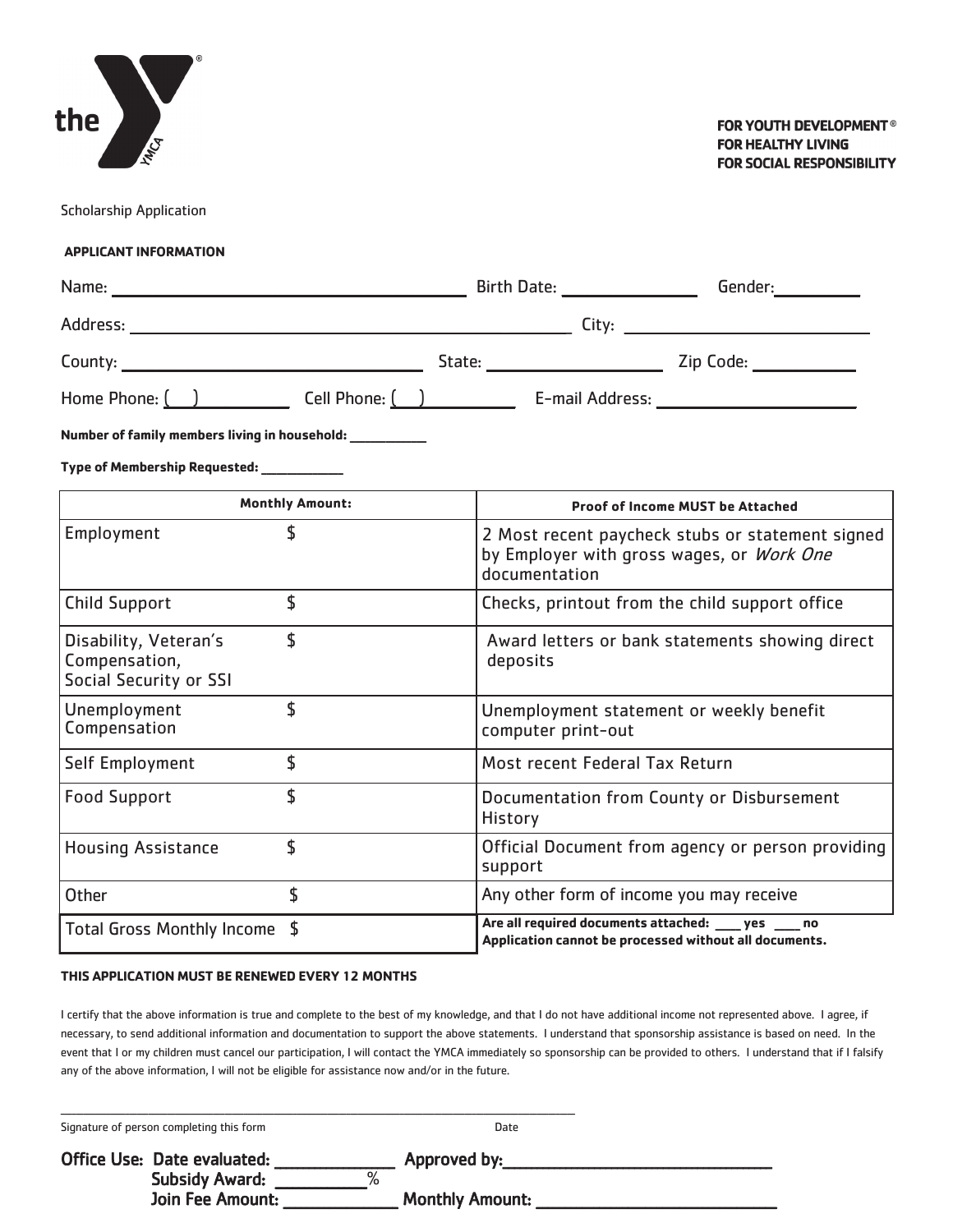

Scholarship Application

#### **APPLICANT INFORMATION**

|                                                                  |                        | Home Phone: ( ) Cell Phone: ( ) Cell Phone: E-mail Address: Community Community Cell Phone: ( ) Community Comm |  |
|------------------------------------------------------------------|------------------------|----------------------------------------------------------------------------------------------------------------|--|
| Number of family members living in household: __________         |                        |                                                                                                                |  |
| Type of Membership Requested: ____________                       |                        |                                                                                                                |  |
|                                                                  | <b>Monthly Amount:</b> | Proof of Income MUST be Attached                                                                               |  |
| Employment                                                       | $\mathsf{\hat{S}}$     | 2 Most recent paycheck stubs or statement signed<br>by Employer with gross wages, or Work One<br>documentation |  |
| <b>Child Support</b>                                             | \$                     | Checks, printout from the child support office                                                                 |  |
| Disability, Veteran's<br>Compensation,<br>Social Security or SSI | \$                     | Award letters or bank statements showing direct<br>deposits                                                    |  |
| Unemployment<br>Compensation                                     | \$                     | Unemployment statement or weekly benefit<br>computer print-out                                                 |  |
| Self Employment                                                  | \$                     | Most recent Federal Tax Return                                                                                 |  |
| <b>Food Support</b>                                              | \$                     | Documentation from County or Disbursement<br><b>History</b>                                                    |  |
| <b>Housing Assistance</b>                                        | \$                     | Official Document from agency or person providing<br>support                                                   |  |
| Other                                                            | \$                     | Any other form of income you may receive                                                                       |  |

#### **THIS APPLICATION MUST BE RENEWED EVERY 12 MONTHS**

Total Gross Monthly Income \$

I certify that the above information is true and complete to the best of my knowledge, and that I do not have additional income not represented above. I agree, if necessary, to send additional information and documentation to support the above statements. I understand that sponsorship assistance is based on need. In the event that I or my children must cancel our participation, I will contact the YMCA immediately so sponsorship can be provided to others. I understand that if I falsify any of the above information, I will not be eligible for assistance now and/or in the future.

**Are all required documents attached: \_\_\_\_\_ yes \_\_\_\_\_ no Application cannot be processed without all documents.** 

Signature of person completing this form **Date** Date **Date** Office Use: Date evaluated: \_\_\_\_\_\_\_\_\_\_\_\_\_\_\_\_\_\_ Approved by:\_\_\_\_\_\_\_\_\_\_\_\_\_\_\_\_\_\_\_\_\_\_ Subsidy Award: \_\_\_\_\_\_\_\_\_\_\_\_\_\_\_\_% Join Fee Amount: Monthly Amount: 2008

\_\_\_\_\_\_\_\_\_\_\_\_\_\_\_\_\_\_\_\_\_\_\_\_\_\_\_\_\_\_\_\_\_\_\_\_\_\_\_\_\_\_\_\_\_\_\_\_\_\_\_\_\_\_\_\_\_\_\_\_\_\_\_\_\_\_\_\_\_\_\_\_\_\_\_\_\_\_\_\_\_\_\_\_\_\_\_\_\_\_\_\_\_\_\_\_\_\_\_\_\_\_\_\_\_\_\_\_\_\_\_\_\_\_\_\_\_\_\_\_\_\_\_\_\_\_\_\_\_\_\_\_\_\_\_